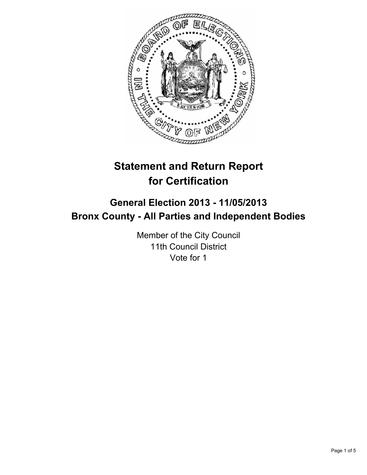

# **Statement and Return Report for Certification**

## **General Election 2013 - 11/05/2013 Bronx County - All Parties and Independent Bodies**

Member of the City Council 11th Council District Vote for 1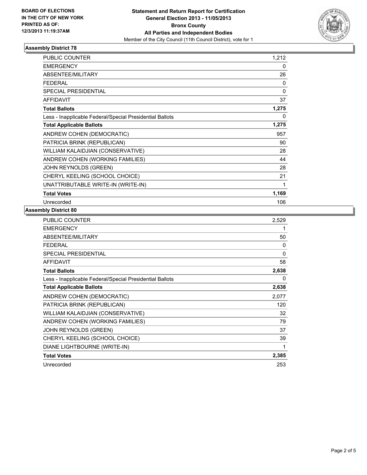

## **Assembly District 78**

| <b>PUBLIC COUNTER</b>                                    | 1,212 |
|----------------------------------------------------------|-------|
| <b>EMERGENCY</b>                                         | 0     |
| ABSENTEE/MILITARY                                        | 26    |
| <b>FEDERAL</b>                                           | 0     |
| <b>SPECIAL PRESIDENTIAL</b>                              | 0     |
| <b>AFFIDAVIT</b>                                         | 37    |
| <b>Total Ballots</b>                                     | 1,275 |
| Less - Inapplicable Federal/Special Presidential Ballots | 0     |
| <b>Total Applicable Ballots</b>                          | 1,275 |
| ANDREW COHEN (DEMOCRATIC)                                | 957   |
| PATRICIA BRINK (REPUBLICAN)                              | 90    |
| WILLIAM KALAIDJIAN (CONSERVATIVE)                        | 28    |
| ANDREW COHEN (WORKING FAMILIES)                          | 44    |
| JOHN REYNOLDS (GREEN)                                    | 28    |
| CHERYL KEELING (SCHOOL CHOICE)                           | 21    |
| UNATTRIBUTABLE WRITE-IN (WRITE-IN)                       | 1     |
| <b>Total Votes</b>                                       | 1,169 |
| Unrecorded                                               | 106   |

#### **Assembly District 80**

| PUBLIC COUNTER                                           | 2,529 |
|----------------------------------------------------------|-------|
| <b>EMERGENCY</b>                                         | 1     |
| ABSENTEE/MILITARY                                        | 50    |
| <b>FEDERAL</b>                                           | 0     |
| <b>SPECIAL PRESIDENTIAL</b>                              | 0     |
| <b>AFFIDAVIT</b>                                         | 58    |
| <b>Total Ballots</b>                                     | 2,638 |
| Less - Inapplicable Federal/Special Presidential Ballots | 0     |
| <b>Total Applicable Ballots</b>                          | 2,638 |
| ANDREW COHEN (DEMOCRATIC)                                | 2,077 |
| PATRICIA BRINK (REPUBLICAN)                              | 120   |
| WILLIAM KALAIDJIAN (CONSERVATIVE)                        | 32    |
| ANDREW COHEN (WORKING FAMILIES)                          | 79    |
| JOHN REYNOLDS (GREEN)                                    | 37    |
| CHERYL KEELING (SCHOOL CHOICE)                           | 39    |
| DIANE LIGHTBOURNE (WRITE-IN)                             | 1     |
| <b>Total Votes</b>                                       | 2,385 |
| Unrecorded                                               | 253   |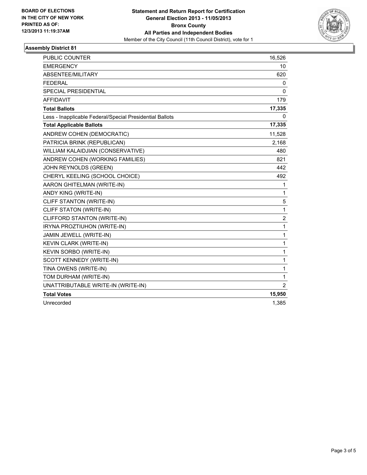

## **Assembly District 81**

| <b>PUBLIC COUNTER</b>                                    | 16,526           |
|----------------------------------------------------------|------------------|
| <b>EMERGENCY</b>                                         | 10               |
| ABSENTEE/MILITARY                                        | 620              |
| <b>FEDERAL</b>                                           | 0                |
| <b>SPECIAL PRESIDENTIAL</b>                              | 0                |
| <b>AFFIDAVIT</b>                                         | 179              |
| <b>Total Ballots</b>                                     | 17,335           |
| Less - Inapplicable Federal/Special Presidential Ballots | 0                |
| <b>Total Applicable Ballots</b>                          | 17,335           |
| ANDREW COHEN (DEMOCRATIC)                                | 11,528           |
| PATRICIA BRINK (REPUBLICAN)                              | 2,168            |
| WILLIAM KALAIDJIAN (CONSERVATIVE)                        | 480              |
| ANDREW COHEN (WORKING FAMILIES)                          | 821              |
| JOHN REYNOLDS (GREEN)                                    | 442              |
| CHERYL KEELING (SCHOOL CHOICE)                           | 492              |
| AARON GHITELMAN (WRITE-IN)                               | 1                |
| ANDY KING (WRITE-IN)                                     | 1                |
| CLIFF STANTON (WRITE-IN)                                 | 5                |
| CLIFF STATON (WRITE-IN)                                  | 1                |
| CLIFFORD STANTON (WRITE-IN)                              | $\boldsymbol{2}$ |
| IRYNA PROZTIUHON (WRITE-IN)                              | $\mathbf{1}$     |
| JAMIN JEWELL (WRITE-IN)                                  | 1                |
| KEVIN CLARK (WRITE-IN)                                   | 1                |
| KEVIN SORBO (WRITE-IN)                                   | 1                |
| SCOTT KENNEDY (WRITE-IN)                                 | 1                |
| TINA OWENS (WRITE-IN)                                    | $\mathbf{1}$     |
| TOM DURHAM (WRITE-IN)                                    | 1                |
| UNATTRIBUTABLE WRITE-IN (WRITE-IN)                       | $\overline{2}$   |
| <b>Total Votes</b>                                       | 15,950           |
| Unrecorded                                               | 1,385            |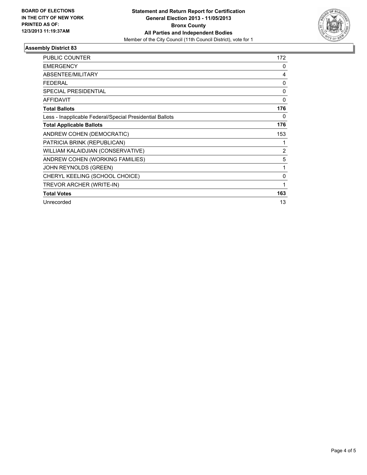

## **Assembly District 83**

| <b>PUBLIC COUNTER</b>                                    | 172            |
|----------------------------------------------------------|----------------|
| <b>EMERGENCY</b>                                         | 0              |
| <b>ABSENTEE/MILITARY</b>                                 | 4              |
| <b>FEDERAL</b>                                           | $\mathbf{0}$   |
| <b>SPECIAL PRESIDENTIAL</b>                              | $\mathbf{0}$   |
| <b>AFFIDAVIT</b>                                         | 0              |
| <b>Total Ballots</b>                                     | 176            |
| Less - Inapplicable Federal/Special Presidential Ballots | 0              |
| <b>Total Applicable Ballots</b>                          | 176            |
| ANDREW COHEN (DEMOCRATIC)                                | 153            |
| PATRICIA BRINK (REPUBLICAN)                              | 1              |
| WILLIAM KALAIDJIAN (CONSERVATIVE)                        | $\overline{2}$ |
| ANDREW COHEN (WORKING FAMILIES)                          | 5              |
| JOHN REYNOLDS (GREEN)                                    | 1              |
| CHERYL KEELING (SCHOOL CHOICE)                           | 0              |
| TREVOR ARCHER (WRITE-IN)                                 | 1              |
| <b>Total Votes</b>                                       | 163            |
| Unrecorded                                               | 13             |